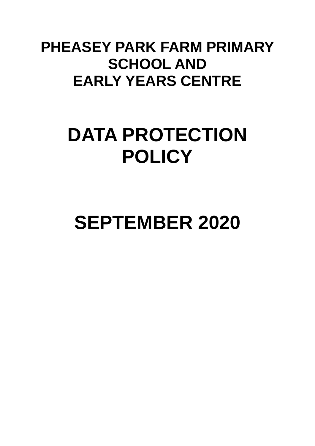### **PHEASEY PARK FARM PRIMARY SCHOOL AND EARLY YEARS CENTRE**

## **DATA PROTECTION POLICY**

# **SEPTEMBER 2020**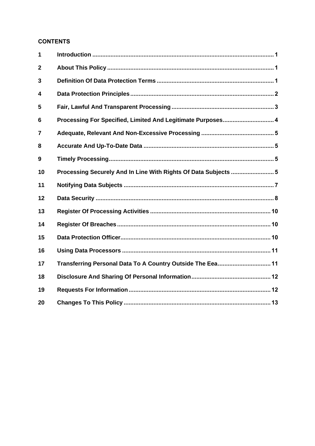#### **CONTENTS**

| 1              |                                                                |  |
|----------------|----------------------------------------------------------------|--|
| $\mathbf{2}$   |                                                                |  |
| 3              |                                                                |  |
| 4              |                                                                |  |
| 5              |                                                                |  |
| 6              | Processing For Specified, Limited And Legitimate Purposes 4    |  |
| $\overline{7}$ |                                                                |  |
| 8              |                                                                |  |
| 9              |                                                                |  |
| 10             | Processing Securely And In Line With Rights Of Data Subjects 5 |  |
| 11             |                                                                |  |
| 12             |                                                                |  |
| 13             |                                                                |  |
| 14             |                                                                |  |
| 15             |                                                                |  |
| 16             |                                                                |  |
| 17             | Transferring Personal Data To A Country Outside The Eea 11     |  |
| 18             |                                                                |  |
| 19             |                                                                |  |
| 20             |                                                                |  |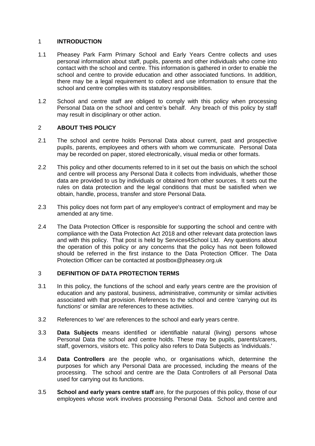#### <span id="page-3-0"></span>1 **INTRODUCTION**

- 1.1 Pheasey Park Farm Primary School and Early Years Centre collects and uses personal information about staff, pupils, parents and other individuals who come into contact with the school and centre. This information is gathered in order to enable the school and centre to provide education and other associated functions. In addition, there may be a legal requirement to collect and use information to ensure that the school and centre complies with its statutory responsibilities.
- 1.2 School and centre staff are obliged to comply with this policy when processing Personal Data on the school and centre's behalf. Any breach of this policy by staff may result in disciplinary or other action.

#### <span id="page-3-1"></span>2 **ABOUT THIS POLICY**

- 2.1 The school and centre holds Personal Data about current, past and prospective pupils, parents, employees and others with whom we communicate. Personal Data may be recorded on paper, stored electronically, visual media or other formats.
- 2.2 This policy and other documents referred to in it set out the basis on which the school and centre will process any Personal Data it collects from individuals, whether those data are provided to us by individuals or obtained from other sources. It sets out the rules on data protection and the legal conditions that must be satisfied when we obtain, handle, process, transfer and store Personal Data.
- 2.3 This policy does not form part of any employee's contract of employment and may be amended at any time.
- 2.4 The Data Protection Officer is responsible for supporting the school and centre with compliance with the Data Protection Act 2018 and other relevant data protection laws and with this policy. That post is held by Services4School Ltd. Any questions about the operation of this policy or any concerns that the policy has not been followed should be referred in the first instance to the Data Protection Officer. The Data Protection Officer can be contacted at postbox@pheasey.org.uk

#### <span id="page-3-2"></span>3 **DEFINITION OF DATA PROTECTION TERMS**

- 3.1 In this policy, the functions of the school and early years centre are the provision of education and any pastoral, business, administrative, community or similar activities associated with that provision. References to the school and centre 'carrying out its functions' or similar are references to these activities.
- 3.2 References to 'we' are references to the school and early years centre.
- 3.3 **Data Subjects** means identified or identifiable natural (living) persons whose Personal Data the school and centre holds. These may be pupils, parents/carers, staff, governors, visitors etc. This policy also refers to Data Subjects as 'individuals.'
- 3.4 **Data Controllers** are the people who, or organisations which, determine the purposes for which any Personal Data are processed, including the means of the processing. The school and centre are the Data Controllers of all Personal Data used for carrying out its functions.
- 3.5 **School and early years centre staff** are, for the purposes of this policy, those of our employees whose work involves processing Personal Data. School and centre and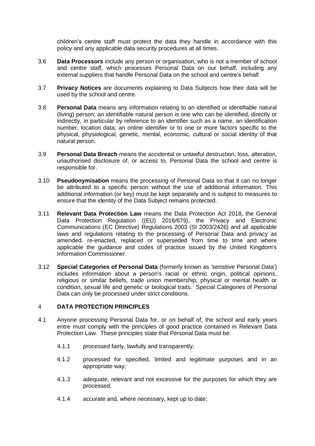children's centre staff must protect the data they handle in accordance with this policy and any applicable data security procedures at all times.

- 3.6 **Data Processors** include any person or organisation, who is not a member of school and centre staff, which processes Personal Data on our behalf, including any external suppliers that handle Personal Data on the school and centre's behalf.
- 3.7 **Privacy Notices** are documents explaining to Data Subjects how their data will be used by the school and centre.
- 3.8 **Personal Data** means any information relating to an identified or identifiable natural (living) person; an identifiable natural person is one who can be identified, directly or indirectly, in particular by reference to an identifier such as a name, an identification number, location data, an online identifier or to one or more factors specific to the physical, physiological, genetic, mental, economic, cultural or social identity of that natural person.
- 3.9 **Personal Data Breach** means the accidental or unlawful destruction, loss, alteration, unauthorised disclosure of, or access to, Personal Data the school and centre is responsible for.
- 3.10 **Pseudonymisation** means the processing of Personal Data so that it can no longer be attributed to a specific person without the use of additional information. This additional information (or key) must be kept separately and is subject to measures to ensure that the identity of the Data Subject remains protected.
- 3.11 **Relevant Data Protection Law** means the Data Protection Act 2018, the General Data Protection Regulation ((EU) 2016/679), the Privacy and Electronic Communications (EC Directive) Regulations 2003 (SI 2003/2426) and all applicable laws and regulations relating to the processing of Personal Data and privacy as amended, re-enacted, replaced or superseded from time to time and where applicable the guidance and codes of practice issued by the United Kingdom's Information Commissioner.
- 3.12 **Special Categories of Personal Data** (formerly known as 'sensitive Personal Data') includes information about a person's racial or ethnic origin, political opinions, religious or similar beliefs, trade union membership, physical or mental health or condition, sexual life and genetic or biological traits. Special Categories of Personal Data can only be processed under strict conditions.

#### <span id="page-4-0"></span>4 **DATA PROTECTION PRINCIPLES**

- 4.1 Anyone processing Personal Data for, or on behalf of, the school and early years entre must comply with the principles of good practice contained in Relevant Data Protection Law. These principles state that Personal Data must be:
	- 4.1.1 processed fairly, lawfully and transparently;
	- 4.1.2 processed for specified, limited and legitimate purposes and in an appropriate way;
	- 4.1.3 adequate, relevant and not excessive for the purposes for which they are processed;
	- 4.1.4 accurate and, where necessary, kept up to date;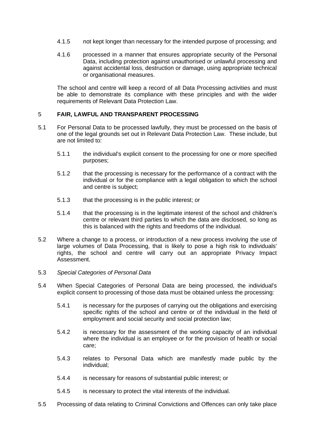- 4.1.5 not kept longer than necessary for the intended purpose of processing; and
- 4.1.6 processed in a manner that ensures appropriate security of the Personal Data, including protection against unauthorised or unlawful processing and against accidental loss, destruction or damage, using appropriate technical or organisational measures.

The school and centre will keep a record of all Data Processing activities and must be able to demonstrate its compliance with these principles and with the wider requirements of Relevant Data Protection Law.

#### <span id="page-5-0"></span>5 **FAIR, LAWFUL AND TRANSPARENT PROCESSING**

- 5.1 For Personal Data to be processed lawfully, they must be processed on the basis of one of the legal grounds set out in Relevant Data Protection Law. These include, but are not limited to:
	- 5.1.1 the individual's explicit consent to the processing for one or more specified purposes;
	- 5.1.2 that the processing is necessary for the performance of a contract with the individual or for the compliance with a legal obligation to which the school and centre is subject;
	- 5.1.3 that the processing is in the public interest; or
	- 5.1.4 that the processing is in the legitimate interest of the school and children's centre or relevant third parties to which the data are disclosed, so long as this is balanced with the rights and freedoms of the individual.
- 5.2 Where a change to a process, or introduction of a new process involving the use of large volumes of Data Processing, that is likely to pose a high risk to individuals' rights, the school and centre will carry out an appropriate Privacy Impact Assessment.
- 5.3 *Special Categories of Personal Data*
- 5.4 When Special Categories of Personal Data are being processed, the individual's explicit consent to processing of those data must be obtained unless the processing:
	- 5.4.1 is necessary for the purposes of carrying out the obligations and exercising specific rights of the school and centre or of the individual in the field of employment and social security and social protection law;
	- 5.4.2 is necessary for the assessment of the working capacity of an individual where the individual is an employee or for the provision of health or social care;
	- 5.4.3 relates to Personal Data which are manifestly made public by the individual;
	- 5.4.4 is necessary for reasons of substantial public interest; or
	- 5.4.5 is necessary to protect the vital interests of the individual.
- 5.5 Processing of data relating to Criminal Convictions and Offences can only take place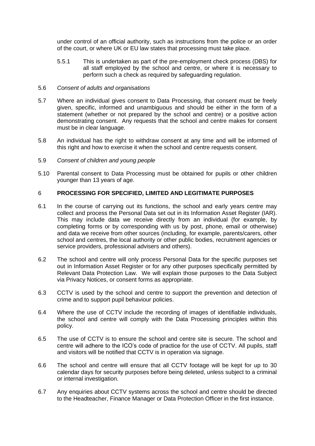under control of an official authority, such as instructions from the police or an order of the court, or where UK or EU law states that processing must take place.

5.5.1 This is undertaken as part of the pre-employment check process (DBS) for all staff employed by the school and centre, or where it is necessary to perform such a check as required by safeguarding regulation.

#### 5.6 *Consent of adults and organisations*

- 5.7 Where an individual gives consent to Data Processing, that consent must be freely given, specific, informed and unambiguous and should be either in the form of a statement (whether or not prepared by the school and centre) or a positive action demonstrating consent. Any requests that the school and centre makes for consent must be in clear language.
- 5.8 An individual has the right to withdraw consent at any time and will be informed of this right and how to exercise it when the school and centre requests consent.
- 5.9 *Consent of children and young people*
- 5.10 Parental consent to Data Processing must be obtained for pupils or other children younger than 13 years of age.

#### <span id="page-6-0"></span>6 **PROCESSING FOR SPECIFIED, LIMITED AND LEGITIMATE PURPOSES**

- 6.1 In the course of carrying out its functions, the school and early years centre may collect and process the Personal Data set out in its Information Asset Register (IAR). This may include data we receive directly from an individual (for example, by completing forms or by corresponding with us by post, phone, email or otherwise) and data we receive from other sources (including, for example, parents/carers, other school and centres, the local authority or other public bodies, recruitment agencies or service providers, professional advisers and others).
- 6.2 The school and centre will only process Personal Data for the specific purposes set out in Information Asset Register or for any other purposes specifically permitted by Relevant Data Protection Law. We will explain those purposes to the Data Subject via Privacy Notices, or consent forms as appropriate.
- 6.3 CCTV is used by the school and centre to support the prevention and detection of crime and to support pupil behaviour policies.
- 6.4 Where the use of CCTV include the recording of images of identifiable individuals, the school and centre will comply with the Data Processing principles within this policy.
- 6.5 The use of CCTV is to ensure the school and centre site is secure. The school and centre will adhere to the ICO's code of practice for the use of CCTV. All pupils, staff and visitors will be notified that CCTV is in operation via signage.
- 6.6 The school and centre will ensure that all CCTV footage will be kept for up to 30 calendar days for security purposes before being deleted, unless subject to a criminal or internal investigation.
- 6.7 Any enquiries about CCTV systems across the school and centre should be directed to the Headteacher, Finance Manager or Data Protection Officer in the first instance.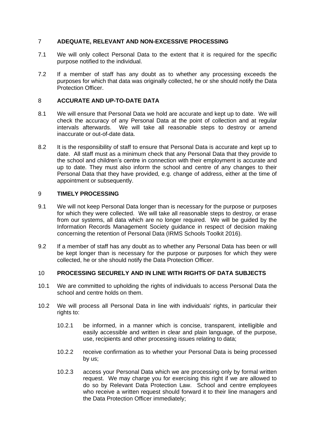#### <span id="page-7-0"></span>7 **ADEQUATE, RELEVANT AND NON-EXCESSIVE PROCESSING**

- 7.1 We will only collect Personal Data to the extent that it is required for the specific purpose notified to the individual.
- 7.2 If a member of staff has any doubt as to whether any processing exceeds the purposes for which that data was originally collected, he or she should notify the Data Protection Officer.

#### <span id="page-7-1"></span>8 **ACCURATE AND UP-TO-DATE DATA**

- 8.1 We will ensure that Personal Data we hold are accurate and kept up to date. We will check the accuracy of any Personal Data at the point of collection and at regular intervals afterwards. We will take all reasonable steps to destroy or amend inaccurate or out-of-date data.
- 8.2 It is the responsibility of staff to ensure that Personal Data is accurate and kept up to date. All staff must as a minimum check that any Personal Data that they provide to the school and children's centre in connection with their employment is accurate and up to date. They must also inform the school and centre of any changes to their Personal Data that they have provided, e.g. change of address, either at the time of appointment or subsequently.

#### <span id="page-7-2"></span>9 **TIMELY PROCESSING**

- 9.1 We will not keep Personal Data longer than is necessary for the purpose or purposes for which they were collected. We will take all reasonable steps to destroy, or erase from our systems, all data which are no longer required. We will be guided by the Information Records Management Society guidance in respect of decision making concerning the retention of Personal Data (IRMS Schools Toolkit 2016).
- 9.2 If a member of staff has any doubt as to whether any Personal Data has been or will be kept longer than is necessary for the purpose or purposes for which they were collected, he or she should notify the Data Protection Officer.

#### <span id="page-7-3"></span>10 **PROCESSING SECURELY AND IN LINE WITH RIGHTS OF DATA SUBJECTS**

- <span id="page-7-4"></span>10.1 We are committed to upholding the rights of individuals to access Personal Data the school and centre holds on them.
- <span id="page-7-5"></span>10.2 We will process all Personal Data in line with individuals' rights, in particular their rights to:
	- 10.2.1 be informed, in a manner which is concise, transparent, intelligible and easily accessible and written in clear and plain language, of the purpose, use, recipients and other processing issues relating to data;
	- 10.2.2 receive confirmation as to whether your Personal Data is being processed by us;
	- 10.2.3 access your Personal Data which we are processing only by formal written request. We may charge you for exercising this right if we are allowed to do so by Relevant Data Protection Law. School and centre employees who receive a written request should forward it to their line managers and the Data Protection Officer immediately;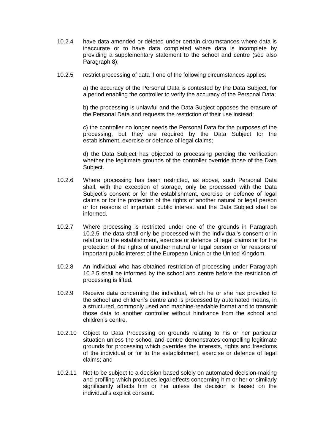- 10.2.4 have data amended or deleted under certain circumstances where data is inaccurate or to have data completed where data is incomplete by providing a supplementary statement to the school and centre (see also Paragraph [8\)](#page-7-1);
- <span id="page-8-0"></span>10.2.5 restrict processing of data if one of the following circumstances applies:

a) the accuracy of the Personal Data is contested by the Data Subject, for a period enabling the controller to verify the accuracy of the Personal Data;

b) the processing is unlawful and the Data Subject opposes the erasure of the Personal Data and requests the restriction of their use instead;

c) the controller no longer needs the Personal Data for the purposes of the processing, but they are required by the Data Subject for the establishment, exercise or defence of legal claims;

d) the Data Subject has objected to processing pending the verification whether the legitimate grounds of the controller override those of the Data Subject.

- 10.2.6 Where processing has been restricted, as above, such Personal Data shall, with the exception of storage, only be processed with the Data Subject's consent or for the establishment, exercise or defence of legal claims or for the protection of the rights of another natural or legal person or for reasons of important public interest and the Data Subject shall be informed.
- 10.2.7 Where processing is restricted under one of the grounds in Paragraph [10.2.5,](#page-8-0) the data shall only be processed with the individual's consent or in relation to the establishment, exercise or defence of legal claims or for the protection of the rights of another natural or legal person or for reasons of important public interest of the European Union or the United Kingdom.
- 10.2.8 An individual who has obtained restriction of processing under Paragraph [10.2.5](#page-8-0) shall be informed by the school and centre before the restriction of processing is lifted.
- 10.2.9 Receive data concerning the individual, which he or she has provided to the school and children's centre and is processed by automated means, in a structured, commonly used and machine-readable format and to transmit those data to another controller without hindrance from the school and children's centre.
- 10.2.10 Object to Data Processing on grounds relating to his or her particular situation unless the school and centre demonstrates compelling legitimate grounds for processing which overrides the interests, rights and freedoms of the individual or for to the establishment, exercise or defence of legal claims; and
- 10.2.11 Not to be subject to a decision based solely on automated decision-making and profiling which produces legal effects concerning him or her or similarly significantly affects him or her unless the decision is based on the individual's explicit consent.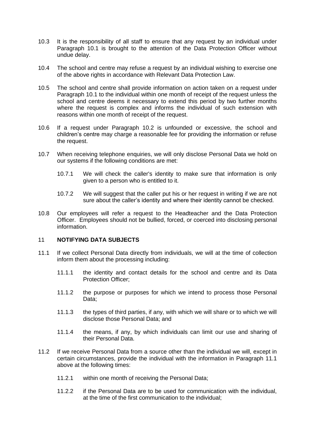- 10.3 It is the responsibility of all staff to ensure that any request by an individual under Paragraph [10.1](#page-7-4) is brought to the attention of the Data Protection Officer without undue delay.
- 10.4 The school and centre may refuse a request by an individual wishing to exercise one of the above rights in accordance with Relevant Data Protection Law.
- 10.5 The school and centre shall provide information on action taken on a request under Paragraph [10.1](#page-7-4) to the individual within one month of receipt of the request unless the school and centre deems it necessary to extend this period by two further months where the request is complex and informs the individual of such extension with reasons within one month of receipt of the request.
- 10.6 If a request under Paragraph [10.2](#page-7-5) is unfounded or excessive, the school and children's centre may charge a reasonable fee for providing the information or refuse the request.
- 10.7 When receiving telephone enquiries, we will only disclose Personal Data we hold on our systems if the following conditions are met:
	- 10.7.1 We will check the caller's identity to make sure that information is only given to a person who is entitled to it.
	- 10.7.2 We will suggest that the caller put his or her request in writing if we are not sure about the caller's identity and where their identity cannot be checked.
- 10.8 Our employees will refer a request to the Headteacher and the Data Protection Officer. Employees should not be bullied, forced, or coerced into disclosing personal information.

#### <span id="page-9-0"></span>11 **NOTIFYING DATA SUBJECTS**

- <span id="page-9-1"></span>11.1 If we collect Personal Data directly from individuals, we will at the time of collection inform them about the processing including:
	- 11.1.1 the identity and contact details for the school and centre and its Data Protection Officer;
	- 11.1.2 the purpose or purposes for which we intend to process those Personal Data;
	- 11.1.3 the types of third parties, if any, with which we will share or to which we will disclose those Personal Data; and
	- 11.1.4 the means, if any, by which individuals can limit our use and sharing of their Personal Data.
- 11.2 If we receive Personal Data from a source other than the individual we will, except in certain circumstances, provide the individual with the information in Paragraph [11.1](#page-9-1) above at the following times:
	- 11.2.1 within one month of receiving the Personal Data;
	- 11.2.2 if the Personal Data are to be used for communication with the individual, at the time of the first communication to the individual;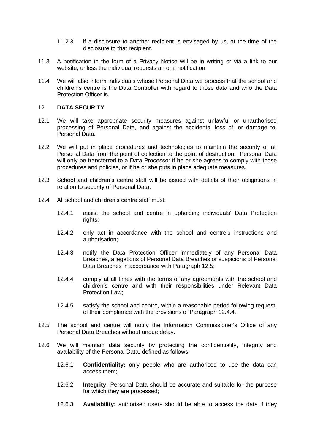- 11.2.3 if a disclosure to another recipient is envisaged by us, at the time of the disclosure to that recipient.
- 11.3 A notification in the form of a Privacy Notice will be in writing or via a link to our website, unless the individual requests an oral notification.
- 11.4 We will also inform individuals whose Personal Data we process that the school and children's centre is the Data Controller with regard to those data and who the Data Protection Officer is.

#### <span id="page-10-0"></span>12 **DATA SECURITY**

- <span id="page-10-3"></span>12.1 We will take appropriate security measures against unlawful or unauthorised processing of Personal Data, and against the accidental loss of, or damage to, Personal Data.
- 12.2 We will put in place procedures and technologies to maintain the security of all Personal Data from the point of collection to the point of destruction. Personal Data will only be transferred to a Data Processor if he or she agrees to comply with those procedures and policies, or if he or she puts in place adequate measures.
- 12.3 School and children's centre staff will be issued with details of their obligations in relation to security of Personal Data.
- 12.4 All school and children's centre staff must:
	- 12.4.1 assist the school and centre in upholding individuals' Data Protection rights;
	- 12.4.2 only act in accordance with the school and centre's instructions and authorisation;
	- 12.4.3 notify the Data Protection Officer immediately of any Personal Data Breaches, allegations of Personal Data Breaches or suspicions of Personal Data Breaches in accordance with Paragraph [12.5;](#page-10-1)
	- 12.4.4 comply at all times with the terms of any agreements with the school and children's centre and with their responsibilities under Relevant Data Protection Law;
	- 12.4.5 satisfy the school and centre, within a reasonable period following request, of their compliance with the provisions of Paragraph [12.4.4.](#page-10-2)
- <span id="page-10-2"></span><span id="page-10-1"></span>12.5 The school and centre will notify the Information Commissioner's Office of any Personal Data Breaches without undue delay.
- 12.6 We will maintain data security by protecting the confidentiality, integrity and availability of the Personal Data, defined as follows:
	- 12.6.1 **Confidentiality:** only people who are authorised to use the data can access them;
	- 12.6.2 **Integrity:** Personal Data should be accurate and suitable for the purpose for which they are processed;
	- 12.6.3 **Availability:** authorised users should be able to access the data if they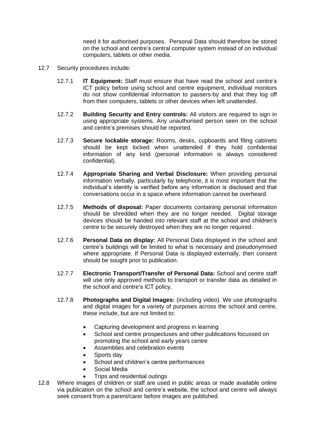need it for authorised purposes. Personal Data should therefore be stored on the school and centre's central computer system instead of on individual computers, tablets or other media.

- 12.7 Security procedures include:
	- 12.7.1 **IT Equipment:** Staff must ensure that have read the school and centre's ICT policy before using school and centre equipment, individual monitors do not show confidential information to passers-by and that they log off from their computers, tablets or other devices when left unattended.
	- 12.7.2 **Building Security and Entry controls:** All visitors are required to sign in using appropriate systems. Any unauthorised person seen on the school and centre's premises should be reported.
	- 12.7.3 **Secure lockable storage:** Rooms, desks, cupboards and filing cabinets should be kept locked when unattended if they hold confidential information of any kind (personal information is always considered confidential).
	- 12.7.4 **Appropriate Sharing and Verbal Disclosure:** When providing personal information verbally, particularly by telephone, it is most important that the individual's identity is verified before any information is disclosed and that conversations occur in a space where information cannot be overheard.
	- 12.7.5 **Methods of disposal:** Paper documents containing personal information should be shredded when they are no longer needed. Digital storage devices should be handed into relevant staff at the school and children's centre to be securely destroyed when they are no longer required.
	- 12.7.6 **Personal Data on display:** All Personal Data displayed in the school and centre's buildings will be limited to what is necessary and pseudonymised where appropriate. If Personal Data is displayed externally, then consent should be sought prior to publication.
	- 12.7.7 **Electronic Transport/Transfer of Personal Data:** School and centre staff will use only approved methods to transport or transfer data as detailed in the school and centre's ICT policy.
	- 12.7.8 **Photographs and Digital Images:** (including video). We use photographs and digital images for a variety of purposes across the school and centre, these include, but are not limited to:
		- Capturing development and progress in learning
		- School and centre prospectuses and other publications focussed on promoting the school and early years centre
		- Assemblies and celebration events
		- Sports day
		- School and children's centre performances
		- Social Media
		- Trips and residential outings
- 12.8 Where images of children or staff are used in public areas or made available online via publication on the school and centre's website, the school and centre will always seek consent from a parent/carer before images are published.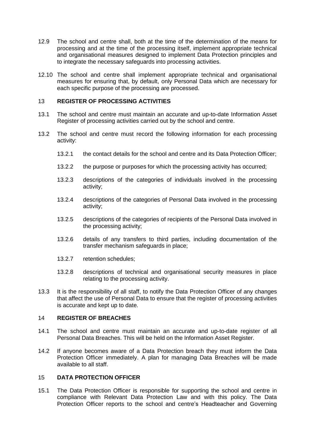- 12.9 The school and centre shall, both at the time of the determination of the means for processing and at the time of the processing itself, implement appropriate technical and organisational measures designed to implement Data Protection principles and to integrate the necessary safeguards into processing activities.
- 12.10 The school and centre shall implement appropriate technical and organisational measures for ensuring that, by default, only Personal Data which are necessary for each specific purpose of the processing are processed.

#### <span id="page-12-0"></span>13 **REGISTER OF PROCESSING ACTIVITIES**

- 13.1 The school and centre must maintain an accurate and up-to-date Information Asset Register of processing activities carried out by the school and centre.
- 13.2 The school and centre must record the following information for each processing activity:
	- 13.2.1 the contact details for the school and centre and its Data Protection Officer;
	- 13.2.2 the purpose or purposes for which the processing activity has occurred;
	- 13.2.3 descriptions of the categories of individuals involved in the processing activity;
	- 13.2.4 descriptions of the categories of Personal Data involved in the processing activity;
	- 13.2.5 descriptions of the categories of recipients of the Personal Data involved in the processing activity;
	- 13.2.6 details of any transfers to third parties, including documentation of the transfer mechanism safeguards in place;
	- 13.2.7 retention schedules;
	- 13.2.8 descriptions of technical and organisational security measures in place relating to the processing activity.
- 13.3 It is the responsibility of all staff, to notify the Data Protection Officer of any changes that affect the use of Personal Data to ensure that the register of processing activities is accurate and kept up to date.

#### <span id="page-12-1"></span>14 **REGISTER OF BREACHES**

- 14.1 The school and centre must maintain an accurate and up-to-date register of all Personal Data Breaches. This will be held on the Information Asset Register.
- 14.2 If anyone becomes aware of a Data Protection breach they must inform the Data Protection Officer immediately. A plan for managing Data Breaches will be made available to all staff.

#### <span id="page-12-2"></span>15 **DATA PROTECTION OFFICER**

15.1 The Data Protection Officer is responsible for supporting the school and centre in compliance with Relevant Data Protection Law and with this policy. The Data Protection Officer reports to the school and centre's Headteacher and Governing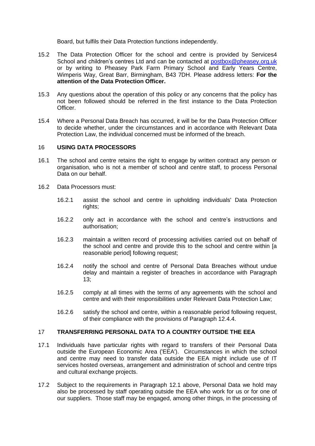Board, but fulfils their Data Protection functions independently.

- 15.2 The Data Protection Officer for the school and centre is provided by Services4 School and children's centres Ltd and can be contacted at [postbox@pheasey.org.uk](mailto:postbox@pheasey.org.uk) or by writing to Pheasey Park Farm Primary School and Early Years Centre, Wimperis Way, Great Barr, Birmingham, B43 7DH. Please address letters: **For the attention of the Data Protection Officer.**
- 15.3 Any questions about the operation of this policy or any concerns that the policy has not been followed should be referred in the first instance to the Data Protection Officer.
- 15.4 Where a Personal Data Breach has occurred, it will be for the Data Protection Officer to decide whether, under the circumstances and in accordance with Relevant Data Protection Law, the individual concerned must be informed of the breach.

#### <span id="page-13-0"></span>16 **USING DATA PROCESSORS**

- 16.1 The school and centre retains the right to engage by written contract any person or organisation, who is not a member of school and centre staff, to process Personal Data on our behalf.
- 16.2 Data Processors must:
	- 16.2.1 assist the school and centre in upholding individuals' Data Protection rights:
	- 16.2.2 only act in accordance with the school and centre's instructions and authorisation;
	- 16.2.3 maintain a written record of processing activities carried out on behalf of the school and centre and provide this to the school and centre within [a reasonable period] following request:
	- 16.2.4 notify the school and centre of Personal Data Breaches without undue delay and maintain a register of breaches in accordance with Paragraph [13;](#page-12-0)
	- 16.2.5 comply at all times with the terms of any agreements with the school and centre and with their responsibilities under Relevant Data Protection Law;
	- 16.2.6 satisfy the school and centre, within a reasonable period following request, of their compliance with the provisions of Paragraph [12.4.4.](#page-10-2)

#### <span id="page-13-1"></span>17 **TRANSFERRING PERSONAL DATA TO A COUNTRY OUTSIDE THE EEA**

- 17.1 Individuals have particular rights with regard to transfers of their Personal Data outside the European Economic Area ('EEA'). Circumstances in which the school and centre may need to transfer data outside the EEA might include use of IT services hosted overseas, arrangement and administration of school and centre trips and cultural exchange projects.
- 17.2 Subject to the requirements in Paragraph [12.1](#page-10-3) above, Personal Data we hold may also be processed by staff operating outside the EEA who work for us or for one of our suppliers. Those staff may be engaged, among other things, in the processing of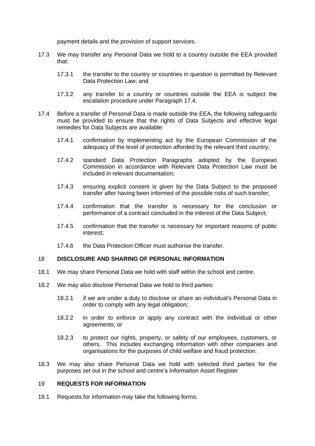payment details and the provision of support services.

- 17.3 We may transfer any Personal Data we hold to a country outside the EEA provided that:
	- 17.3.1 the transfer to the country or countries in question is permitted by Relevant Data Protection Law; and
	- 17.3.2 any transfer to a country or countries outside the EEA is subject the escalation procedure under Paragraph [17.4.](#page-14-2)
- <span id="page-14-2"></span>17.4 Before a transfer of Personal Data is made outside the EEA, the following safeguards must be provided to ensure that the rights of Data Subjects and effective legal remedies for Data Subjects are available:
	- 17.4.1 confirmation by implementing act by the European Commission of the adequacy of the level of protection afforded by the relevant third country;
	- 17.4.2 standard Data Protection Paragraphs adopted by the European Commission in accordance with Relevant Data Protection Law must be included in relevant documentation;
	- 17.4.3 ensuring explicit consent is given by the Data Subject to the proposed transfer after having been informed of the possible risks of such transfer;
	- 17.4.4 confirmation that the transfer is necessary for the conclusion or performance of a contract concluded in the interest of the Data Subject;
	- 17.4.5 confirmation that the transfer is necessary for important reasons of public interest;
	- 17.4.6 the Data Protection Officer must authorise the transfer.

#### <span id="page-14-0"></span>18 **DISCLOSURE AND SHARING OF PERSONAL INFORMATION**

- 18.1 We may share Personal Data we hold with staff within the school and centre.
- 18.2 We may also disclose Personal Data we hold to third parties:
	- 18.2.1 if we are under a duty to disclose or share an individual's Personal Data in order to comply with any legal obligation;
	- 18.2.2 in order to enforce or apply any contract with the individual or other agreements; or
	- 18.2.3 to protect our rights, property, or safety of our employees, customers, or others. This includes exchanging information with other companies and organisations for the purposes of child welfare and fraud protection.
- 18.3 We may also share Personal Data we hold with selected third parties for the purposes set out in the school and centre's Information Asset Register

#### <span id="page-14-1"></span>19 **REQUESTS FOR INFORMATION**

19.1 Requests for information may take the following forms: